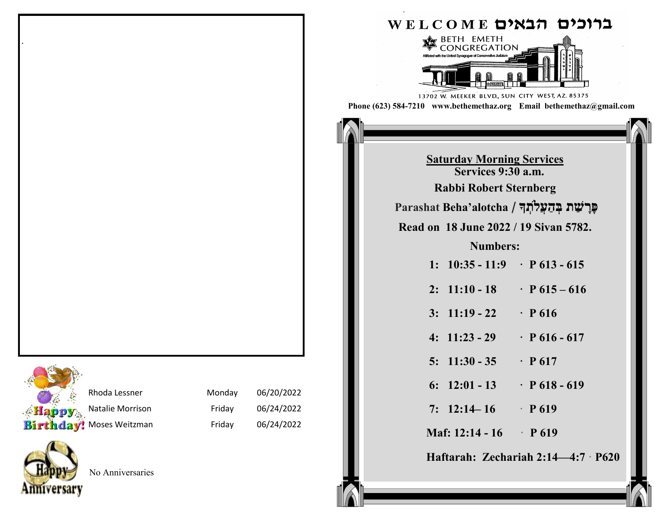|                  | Rho  |
|------------------|------|
| Happy            | Nata |
| <b>Birthday!</b> | Mos  |

.

| Rhoda Lessner    | Monday | 06/20/2022 |
|------------------|--------|------------|
| Natalie Morrison | Friday | 06/24/2022 |
| ! Moses Weitzman | Friday | 06/24/2022 |



No Anniversaries

|                                                                                                                |                                                | ברוכים הבאים welcome                                                 |  |  |  |
|----------------------------------------------------------------------------------------------------------------|------------------------------------------------|----------------------------------------------------------------------|--|--|--|
| BETH EMETH<br>FGATION<br>Affiliated with the United Synagog<br>13702 W. MEEKER BLVD., SUN CITY WEST, AZ. 85375 |                                                |                                                                      |  |  |  |
|                                                                                                                |                                                | Phone (623) 584-7210 www.bethemethaz.org Email bethemethaz@gmail.com |  |  |  |
|                                                                                                                |                                                |                                                                      |  |  |  |
| <b>Saturday Morning Services</b><br>Services 9:30 a.m.                                                         |                                                |                                                                      |  |  |  |
|                                                                                                                | <b>Rabbi Robert Sternberg</b>                  |                                                                      |  |  |  |
|                                                                                                                | פּרִשַׁת בִּהַעֲלֹתְךָ Parashat Beha'alotcha / |                                                                      |  |  |  |
|                                                                                                                |                                                | Read on 18 June 2022 / 19 Sivan 5782.                                |  |  |  |
|                                                                                                                | <b>Numbers:</b>                                |                                                                      |  |  |  |
|                                                                                                                |                                                | 1: $10:35 - 11:9$ · P 613 - 615                                      |  |  |  |
|                                                                                                                |                                                | 2: $11:10 - 18$ $\cdot$ P $615 - 616$                                |  |  |  |
|                                                                                                                | $3: 11:19 - 22$                                | $\cdot$ P 616                                                        |  |  |  |
|                                                                                                                |                                                | 4: $11:23 - 29$ $\cdot$ P 616 - 617                                  |  |  |  |
|                                                                                                                | $5: 11:30 - 35$                                | $\cdot$ P 617                                                        |  |  |  |
|                                                                                                                | 6: $12:01 - 13$                                | $\cdot$ P 618 - 619                                                  |  |  |  |
|                                                                                                                | 7: $12:14-16$ P 619                            |                                                                      |  |  |  |
|                                                                                                                | Maf: $12:14 - 16$ P 619                        |                                                                      |  |  |  |
| Haftarah: Zechariah 2:14-4:7 P620                                                                              |                                                |                                                                      |  |  |  |